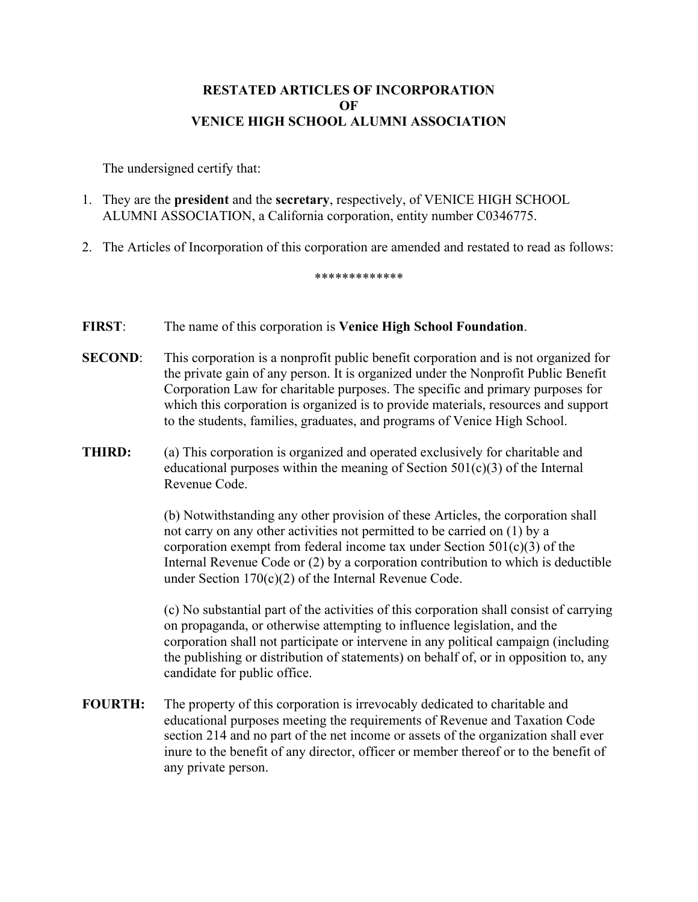## **RESTATED ARTICLES OF INCORPORATION OF VENICE HIGH SCHOOL ALUMNI ASSOCIATION**

The undersigned certify that:

- 1. They are the **president** and the **secretary**, respectively, of VENICE HIGH SCHOOL ALUMNI ASSOCIATION, a California corporation, entity number C0346775.
- 2. The Articles of Incorporation of this corporation are amended and restated to read as follows:

\*\*\*\*\*\*\*\*\*\*\*\*\*

## **FIRST**: The name of this corporation is **Venice High School Foundation**.

- **SECOND:** This corporation is a nonprofit public benefit corporation and is not organized for the private gain of any person. It is organized under the Nonprofit Public Benefit Corporation Law for charitable purposes. The specific and primary purposes for which this corporation is organized is to provide materials, resources and support to the students, families, graduates, and programs of Venice High School.
- **THIRD:** (a) This corporation is organized and operated exclusively for charitable and educational purposes within the meaning of Section  $501(c)(3)$  of the Internal Revenue Code.

(b) Notwithstanding any other provision of these Articles, the corporation shall not carry on any other activities not permitted to be carried on (1) by a corporation exempt from federal income tax under Section  $501(c)(3)$  of the Internal Revenue Code or (2) by a corporation contribution to which is deductible under Section 170(c)(2) of the Internal Revenue Code.

(c) No substantial part of the activities of this corporation shall consist of carrying on propaganda, or otherwise attempting to influence legislation, and the corporation shall not participate or intervene in any political campaign (including the publishing or distribution of statements) on behalf of, or in opposition to, any candidate for public office.

**FOURTH:** The property of this corporation is irrevocably dedicated to charitable and educational purposes meeting the requirements of Revenue and Taxation Code section 214 and no part of the net income or assets of the organization shall ever inure to the benefit of any director, officer or member thereof or to the benefit of any private person.